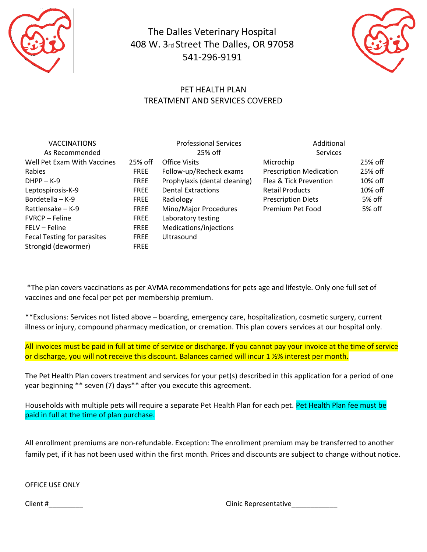

The Dalles Veterinary Hospital 408 W. 3rd Street The Dalles, OR 97058 541-296-9191



## PET HEALTH PLAN TREATMENT AND SERVICES COVERED

| <b>VACCINATIONS</b>         |             | <b>Professional Services</b>  | Additional                     |         |
|-----------------------------|-------------|-------------------------------|--------------------------------|---------|
| As Recommended              |             | 25% off                       | <b>Services</b>                |         |
| Well Pet Exam With Vaccines | 25% off     | <b>Office Visits</b>          | Microchip                      | 25% off |
| Rabies                      | <b>FREE</b> | Follow-up/Recheck exams       | <b>Prescription Medication</b> | 25% off |
| $DHPP - K-9$                | <b>FREE</b> | Prophylaxis (dental cleaning) | Flea & Tick Prevention         | 10% off |
| Leptospirosis-K-9           | <b>FREE</b> | <b>Dental Extractions</b>     | <b>Retail Products</b>         | 10% off |
| Bordetella - K-9            | <b>FREE</b> | Radiology                     | <b>Prescription Diets</b>      | 5% off  |
| Rattlensake - K-9           | <b>FREE</b> | Mino/Major Procedures         | Premium Pet Food               | 5% off  |
| <b>FVRCP – Feline</b>       | <b>FREE</b> | Laboratory testing            |                                |         |
| FELV – Feline               | <b>FREE</b> | Medications/injections        |                                |         |
| Fecal Testing for parasites | <b>FREE</b> | Ultrasound                    |                                |         |
| Strongid (dewormer)         | <b>FREE</b> |                               |                                |         |

\*The plan covers vaccinations as per AVMA recommendations for pets age and lifestyle. Only one full set of vaccines and one fecal per pet per membership premium.

\*\*Exclusions: Services not listed above – boarding, emergency care, hospitalization, cosmetic surgery, current illness or injury, compound pharmacy medication, or cremation. This plan covers services at our hospital only.

All invoices must be paid in full at time of service or discharge. If you cannot pay your invoice at the time of service or discharge, you will not receive this discount. Balances carried will incur 1 ½% interest per month.

The Pet Health Plan covers treatment and services for your pet(s) described in this application for a period of one year beginning \*\* seven (7) days\*\* after you execute this agreement.

Households with multiple pets will require a separate Pet Health Plan for each pet. Pet Health Plan fee must be paid in full at the time of plan purchase.

All enrollment premiums are non-refundable. Exception: The enrollment premium may be transferred to another family pet, if it has not been used within the first month. Prices and discounts are subject to change without notice.

OFFICE USE ONLY

Client #\_\_\_\_\_\_\_\_\_ Clinic Representative\_\_\_\_\_\_\_\_\_\_\_\_